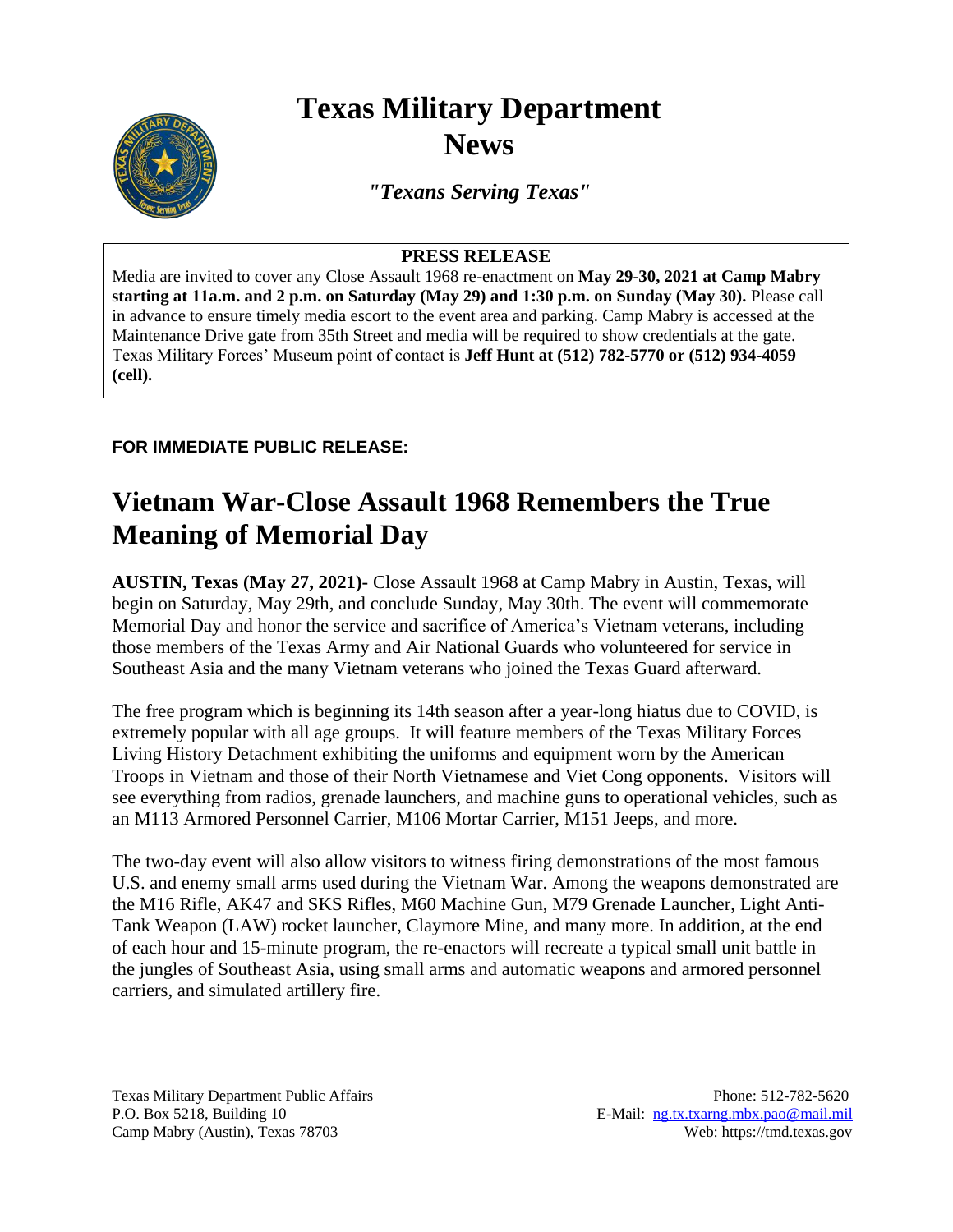## **Texas Military Department News**



*"Texans Serving Texas"*

## **PRESS RELEASE**

Media are invited to cover any Close Assault 1968 re-enactment on **May 29-30, 2021 at Camp Mabry starting at 11a.m. and 2 p.m. on Saturday (May 29) and 1:30 p.m. on Sunday (May 30).** Please call in advance to ensure timely media escort to the event area and parking. Camp Mabry is accessed at the Maintenance Drive gate from 35th Street and media will be required to show credentials at the gate. Texas Military Forces' Museum point of contact is **Jeff Hunt at (512) 782-5770 or (512) 934-4059 (cell).**

## **FOR IMMEDIATE PUBLIC RELEASE:**

## **Vietnam War-Close Assault 1968 Remembers the True Meaning of Memorial Day**

**AUSTIN, Texas (May 27, 2021)-** Close Assault 1968 at Camp Mabry in Austin, Texas, will begin on Saturday, May 29th, and conclude Sunday, May 30th. The event will commemorate Memorial Day and honor the service and sacrifice of America's Vietnam veterans, including those members of the Texas Army and Air National Guards who volunteered for service in Southeast Asia and the many Vietnam veterans who joined the Texas Guard afterward.

The free program which is beginning its 14th season after a year-long hiatus due to COVID, is extremely popular with all age groups. It will feature members of the Texas Military Forces Living History Detachment exhibiting the uniforms and equipment worn by the American Troops in Vietnam and those of their North Vietnamese and Viet Cong opponents. Visitors will see everything from radios, grenade launchers, and machine guns to operational vehicles, such as an M113 Armored Personnel Carrier, M106 Mortar Carrier, M151 Jeeps, and more.

The two-day event will also allow visitors to witness firing demonstrations of the most famous U.S. and enemy small arms used during the Vietnam War. Among the weapons demonstrated are the M16 Rifle, AK47 and SKS Rifles, M60 Machine Gun, M79 Grenade Launcher, Light Anti-Tank Weapon (LAW) rocket launcher, Claymore Mine, and many more. In addition, at the end of each hour and 15-minute program, the re-enactors will recreate a typical small unit battle in the jungles of Southeast Asia, using small arms and automatic weapons and armored personnel carriers, and simulated artillery fire.